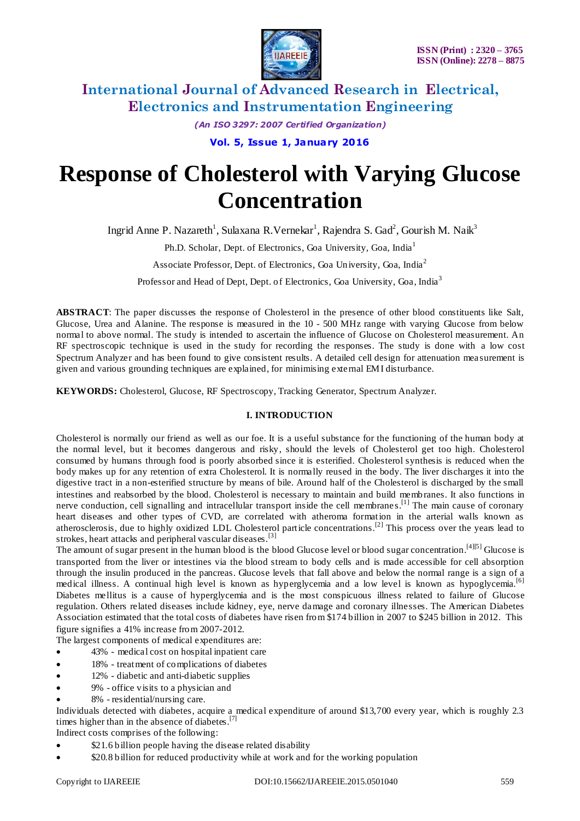

*(An ISO 3297: 2007 Certified Organization)*

**Vol. 5, Issue 1, January 2016**

# **Response of Cholesterol with Varying Glucose Concentration**

Ingrid Anne P. Nazareth<sup>1</sup>, Sulaxana R. Vernekar<sup>1</sup>, Rajendra S. Gad<sup>2</sup>, Gourish M. Naik<sup>3</sup>

Ph.D. Scholar, Dept. of Electronics, Goa University, Goa, India<sup>1</sup>

Associate Professor, Dept. of Electronics, Goa University, Goa, India<sup>2</sup>

Professor and Head of Dept, Dept. of Electronics, Goa University, Goa, India<sup>3</sup>

**ABSTRACT**: The paper discusses the response of Cholesterol in the presence of other blood constituents like Salt, Glucose, Urea and Alanine. The response is measured in the 10 - 500 MHz range with varying Glucose from below normal to above normal. The study is intended to ascertain the influence of Glucose on Cholesterol measurement. An RF spectroscopic technique is used in the study for recording the responses. The study is done with a low cost Spectrum Analyzer and has been found to give consistent results. A detailed cell design for attenuation mea surement is given and various grounding techniques are explained, for minimising external EMI disturbance.

**KEYWORDS:** Cholesterol, Glucose, RF Spectroscopy, Tracking Generator, Spectrum Analyzer.

## **I. INTRODUCTION**

Cholesterol is normally our friend as well as our foe. It is a useful substance for the functioning of the human body at the normal level, but it becomes dangerous and risky, should the levels of Cholesterol get too high. Cholesterol consumed by humans through food is poorly absorbed since it is esterified. Cholesterol synthesis is reduced when the body makes up for any retention of extra Cholesterol. It is normally reused in the body. The liver discharges it into the digestive tract in a non-esterified structure by means of bile. Around half of the Cholesterol is discharged by the small intestines and reabsorbed by the blood. Cholesterol is necessary to maintain and build membranes. It also functions in nerve conduction, cell signalling and intracellular transport inside the cell membranes.<sup>[1]</sup> The main cause of coronary heart diseases and other types of CVD, are correlated with atheroma formation in the arterial walls known as atherosclerosis, due to highly oxidized LDL Cholesterol particle concentrations.<sup>[2]</sup> This process over the years lead to strokes, heart attacks and peripheral vascular diseases.<sup>[3]</sup>

The amount of sugar present in the human blood is the blood Glucose level or blood sugar concentration.<sup>[4][5]</sup> Glucose is transported from the liver or intestines via the blood stream to body cells and is made accessible for cell absorption through the insulin produced in the pancreas. Glucose levels that fall above and below the normal range is a sign of a medical illness. A continual high level is known as hyperglycemia and a low level is known as hypoglycemia.[6] Diabetes mellitus is a cause of hyperglycemia and is the most conspicuous illness related to failure of Glucose regulation. Others related diseases include kidney, eye, nerve damage and coronary illnesses. The American Diabetes Association estimated that the total costs of diabetes have risen from \$174 billion in 2007 to \$245 billion in 2012. This figure signifies a 41% increase from 2007-2012.

The largest components of medical expenditures are:

- 43% medical cost on hospital inpatient care
- 18% treatment of complications of diabetes
- 12% diabetic and anti-diabetic supplies
- 9% office visits to a physician and
- 8% residential/nursing care.

Individuals detected with diabetes, acquire a medical expenditure of around \$13,700 every year, which is roughly 2.3 times higher than in the absence of diabetes.<sup>[7]</sup>

Indirect costs comprises of the following:

- \$21.6 billion people having the disease related disability
- \$20.8 billion for reduced productivity while at work and for the working population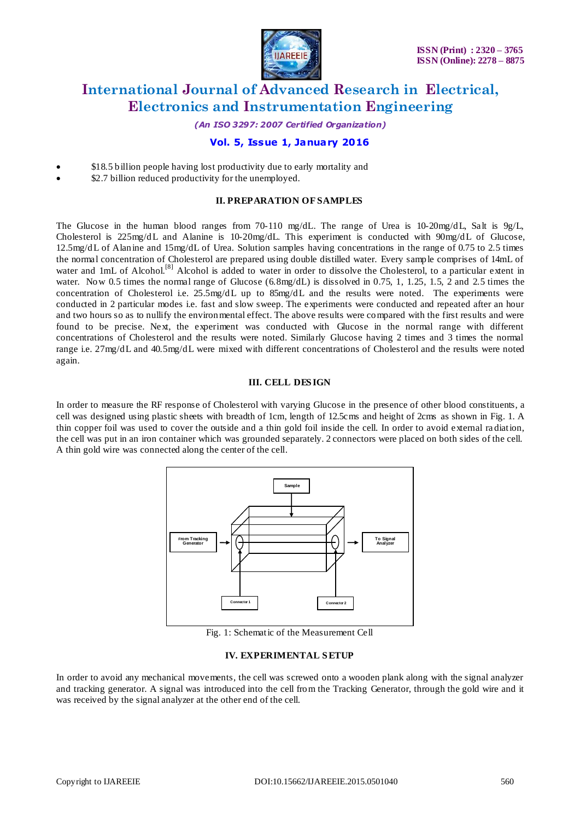

*(An ISO 3297: 2007 Certified Organization)*

## **Vol. 5, Issue 1, January 2016**

- \$18.5 billion people having lost productivity due to early mortality and
- \$2.7 billion reduced productivity for the unemployed.

#### **II. PREPARATION OF SAMPLES**

The Glucose in the human blood ranges from 70-110 mg/dL. The range of Urea is 10-20mg/dL, Salt is  $9g/L$ , Cholesterol is 225mg/dL and Alanine is 10-20mg/dL. This experiment is conducted with 90mg/dL of Glucose, 12.5mg/dL of Alanine and 15mg/dL of Urea. Solution samples having concentrations in the range of 0.75 to 2.5 times the normal concentration of Cholesterol are prepared using double distilled water. Every sample comprises of 14mL of water and 1mL of Alcohol.<sup>[8]</sup> Alcohol is added to water in order to dissolve the Cholesterol, to a particular extent in water. Now 0.5 times the normal range of Glucose (6.8mg/dL) is dissolved in 0.75, 1, 1.25, 1.5, 2 and 2.5 times the concentration of Cholesterol i.e.  $25.5mg/dL$  up to  $85mg/dL$  and the results were noted. The experiments were conducted in 2 particular modes i.e. fast and slow sweep. The experiments were conducted and repeated after an hour and two hours so as to nullify the environmental effect. The above results were compared with the first results and were found to be precise. Next, the experiment was conducted with Glucose in the normal range with different concentrations of Cholesterol and the results were noted. Similarly Glucose having 2 times and 3 times the normal range i.e. 27mg/dL and 40.5mg/dL were mixed with different concentrations of Cholesterol and the results were noted again.

#### **III. CELL DES IGN**

In order to measure the RF response of Cholesterol with varying Glucose in the presence of other blood constituents, a cell was designed using plastic sheets with breadth of 1cm, length of 12.5cms and height of 2cms as shown in Fig. 1. A thin copper foil was used to cover the outside and a thin gold foil inside the cell. In order to avoid external ra diation, the cell was put in an iron container which was grounded separately. 2 connectors were placed on both sides of the cell. A thin gold wire was connected along the center of the cell.



Fig. 1: Schematic of the Measurement Cell

#### **IV. EXPERIMENTAL S ETUP**

In order to avoid any mechanical movements, the cell was screwed onto a wooden plank along with the signal analyzer and tracking generator. A signal was introduced into the cell from the Tracking Generator, through the gold wire and it was received by the signal analyzer at the other end of the cell.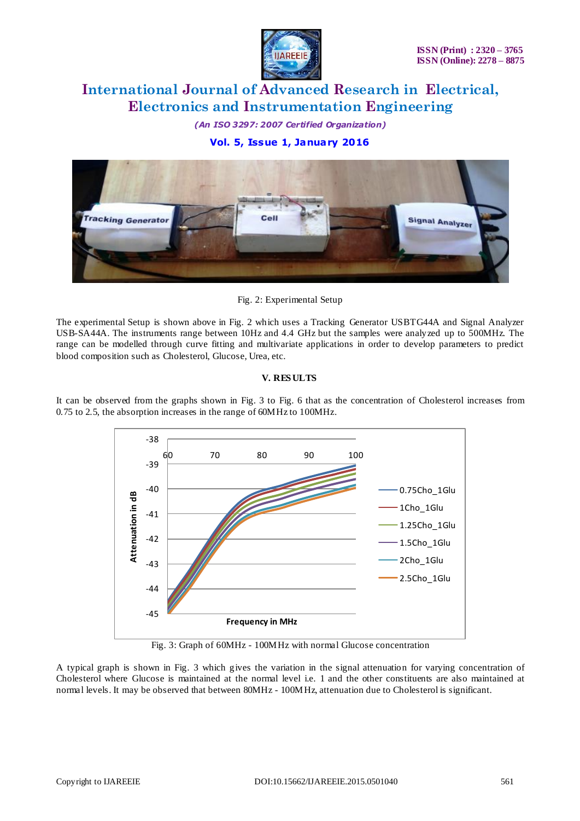

*(An ISO 3297: 2007 Certified Organization)*

## **Vol. 5, Issue 1, January 2016**



Fig. 2: Experimental Setup

The experimental Setup is shown above in Fig. 2 which uses a Tracking Generator USBTG44A and Signal Analyzer USB-SA44A. The instruments range between 10Hz and 4.4 GHz but the samples were analyzed up to 500MHz. The range can be modelled through curve fitting and multivariate applications in order to develop parameters to predict blood composition such as Cholesterol, Glucose, Urea, etc.

### **V. RES ULTS**

It can be observed from the graphs shown in Fig. 3 to Fig. 6 that as the concentration of Cholesterol increases from 0.75 to 2.5, the absorption increases in the range of 60MHz to 100MHz.



Fig. 3: Graph of 60MHz - 100MHz with normal Glucose concentration

A typical graph is shown in Fig. 3 which gives the variation in the signal attenuation for varying concentration of Cholesterol where Glucose is maintained at the normal level i.e. 1 and the other constituents are also maintained at normal levels. It may be observed that between 80MHz - 100MHz, attenuation due to Cholesterol is significant.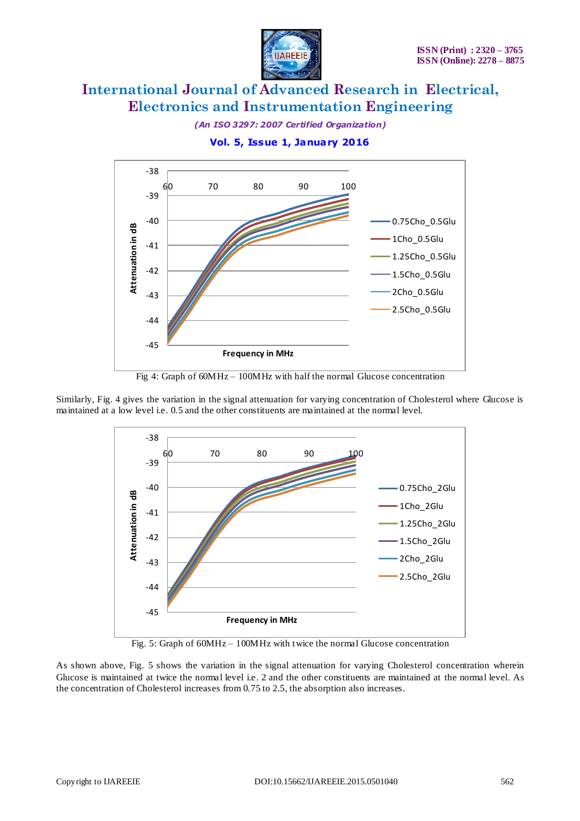

*(An ISO 3297: 2007 Certified Organization)*

**Vol. 5, Issue 1, January 2016**



Fig 4: Graph of 60MHz – 100MHz with half the normal Glucose concentration

Similarly, Fig. 4 gives the variation in the signal attenuation for varying concentration of Cholesterol where Glucose is maintained at a low level i.e. 0.5 and the other constituents are maintained at the normal level.



Fig. 5: Graph of 60MHz – 100MHz with twice the normal Glucose concentration

As shown above, Fig. 5 shows the variation in the signal attenuation for varying Cholesterol concentration wherein Glucose is maintained at twice the normal level i.e. 2 and the other constituents are maintained at the normal level. As the concentration of Cholesterol increases from 0.75 to 2.5, the absorption also increases.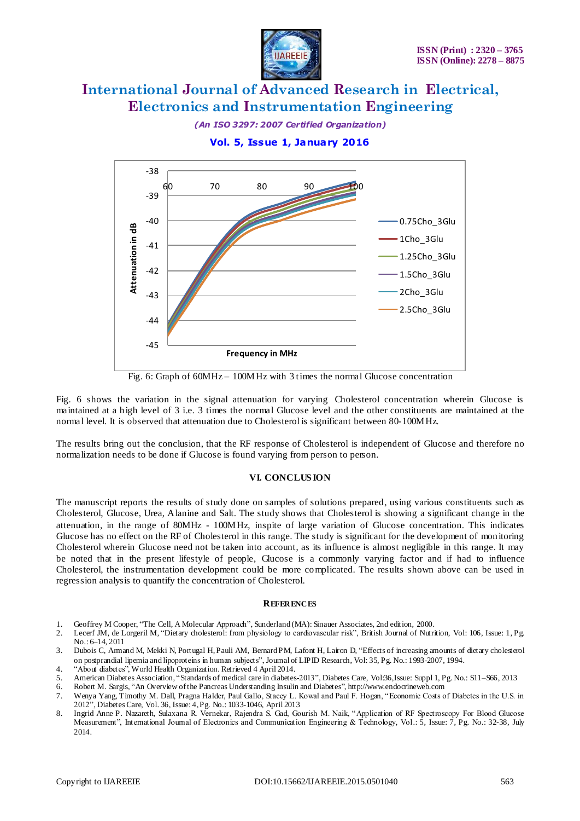

*(An ISO 3297: 2007 Certified Organization)*

**Vol. 5, Issue 1, January 2016**



Fig. 6: Graph of 60MHz – 100MHz with 3 times the normal Glucose concentration

Fig. 6 shows the variation in the signal attenuation for varying Cholesterol concentration wherein Glucose is maintained at a high level of 3 i.e. 3 times the normal Glucose level and the other constituents are maintained at the normal level. It is observed that attenuation due to Cholesterol is significant between 80-100MHz.

The results bring out the conclusion, that the RF response of Cholesterol is independent of Glucose and therefore no normalization needs to be done if Glucose is found varying from person to person.

#### **VI. CONCLUS ION**

The manuscript reports the results of study done on samples of solutions prepared, using various constituents such as Cholesterol, Glucose, Urea, Alanine and Salt. The study shows that Cholesterol is showing a significant change in the attenuation, in the range of 80MHz - 100MHz, inspite of large variation of Glucose concentration. This indicates Glucose has no effect on the RF of Cholesterol in this range. The study is significant for the development of monitoring Cholesterol wherein Glucose need not be taken into account, as its influence is almost negligible in this range. It may be noted that in the present lifestyle of people, Glucose is a commonly varying factor and if had to influence Cholesterol, the instrumentation development could be more complicated. The results shown above can be used in regression analysis to quantify the concentration of Cholesterol.

#### **REFERENCES**

- 1. Geoffrey M Cooper, "The Cell, A Molecular Approach", Sunderland (MA): Sinauer Associates, 2nd edition, 2000.
- 2. Lecerf JM, de Lorgeril M, "Dietary cholesterol: from physiology to cardiovascular risk", British Journal of Nutrition, Vol: 106, Issue: 1, Pg. No.: 6–14, 2011
- 3. Dubois C, Armand M, Mekki N, Portugal H, Pauli AM, Bernard PM, Lafont H, Lairon D, "Effects of increasing amounts of dietary cholesterol on postprandial lipemia and lipoproteins in human subjects", Journal of LIPID Research, Vol: 35, Pg. No.: 1993-2007, 1994.
- 4. "About diabetes", World Health Organization. Retrieved 4 April 2014.
- 5. American Diabetes Association, "Standards of medical care in diabetes-2013", Diabetes Care, Vol.36, Issue: Suppl 1, Pg. No.: S11–S66, 2013<br>6. Robert M. Sargis, "An Overview of the Pancreas Understanding Insulin and Diab
- 6. Robert M. Sargis, "An Overview of the Pancreas Understanding Insulin and Diabetes", http://www.endocrineweb.com
- 7. Wenya Yang, Timothy M. Dall, Pragna Halder, Paul Gallo, Stacey L. Kowal and Paul F. Hogan, "Economic Costs of Diabetes in the U.S. in 2012", Diabetes Care, Vol. 36, Issue: 4,Pg. No.: 1033-1046, April 2013
- 8. Ingrid Anne P. Nazareth, Sulaxana R. Vernekar, Rajendra S. Gad, Gourish M. Naik, "Application of RF Spectroscopy For Blood Glucose Measurement", International Journal of Electronics and Communication Engineering & Technology, Vol.: 5, Issue: 7, Pg. No.: 32-38, July 2014.